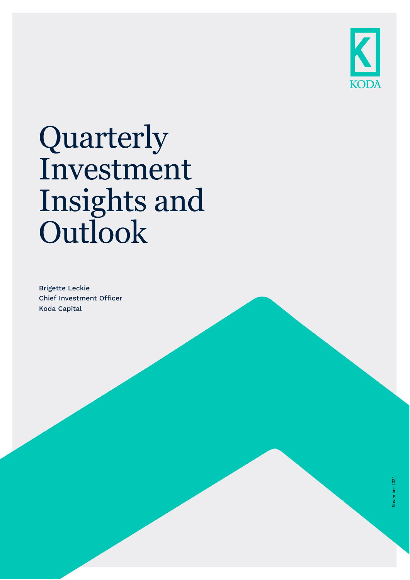

# Quarterly Investment Insights and **Outlook**

Brigette Leckie Chief Investment Officer Koda Capital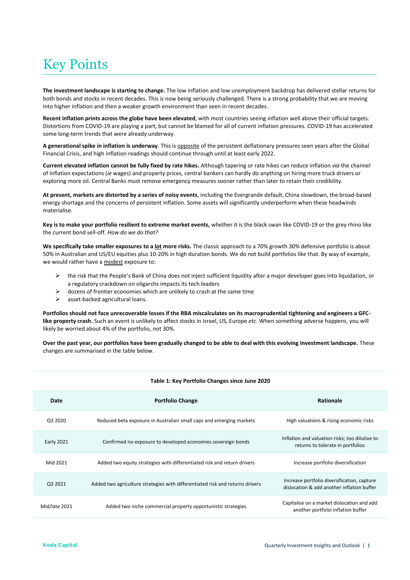# Key Points

**The investment landscape is starting to change.** The low inflation and low unemployment backdrop has delivered stellar returns for both bonds and stocks in recent decades. This is now being seriously challenged. There is a strong probability that we are moving into higher inflation and then a weaker growth environment than seen in recent decades.

**Recent inflation prints across the globe have been elevated**, with most countries seeing inflation well above their official targets. Distortions from COVID-19 are playing a part, but cannot be blamed for all of current inflation pressures. COVID-19 has accelerated some long-term trends that were already underway.

**A generational spike in inflation is underway**. This is opposite of the persistent deflationary pressures seen years after the Global Financial Crisis, and high inflation readings should continue through until at least early 2022.

**Current elevated inflation cannot be fully fixed by rate hikes.** Although tapering or rate hikes can reduce inflation *via* the channel of inflation expectations (*ie* wages) and property prices, central bankers can hardly do anything on hiring more truck drivers or exploring more oil. Central Banks must remove emergency measures sooner rather than later to retain their credibility.

**At present, markets are distorted by a series of noisy events**, including the Evergrande default, China slowdown, the broad-based energy shortage and the concerns of persistent inflation. Some assets will significantly underperform when these headwinds materialise.

**Key is to make your portfolio resilient to extreme market events,** whether it is the black swan like COVID-19 or the grey rhino like the current bond sell-off. *How do we do that?*

**We specifically take smaller exposures to a lot more risks.** The classic approach to a 70% growth 30% defensive portfolio is about 50% in Australian and US/EU equities plus 10-20% in high duration bonds. We do not build portfolios like that. By way of example, we would rather have a modest exposure to:

- ➢ the risk that the People's Bank of China does not inject sufficient liquidity after a major developer goes into liquidation, or a regulatory crackdown on oligarchs impacts its tech leaders
- $\triangleright$  dozens of frontier economies which are unlikely to crash at the same time
- ➢ asset-backed agricultural loans.

**Portfolios should not face unrecoverable losses if the RBA miscalculates on its macroprudential tightening and engineers a GFClike property crash.** Such an event is unlikely to affect stocks in Israel, US, Europe *etc*. When something adverse happens, you will likely be worried about 4% of the portfolio, not 30%.

**Over the past year, our portfolios have been gradually changed to be able to deal with this evolving investment landscape.** These changes are summarised in the table below.

|                   | Table 1. Rey Fortrollo Changes since June 2020                                |                                                                                           |  |  |  |  |  |  |  |  |
|-------------------|-------------------------------------------------------------------------------|-------------------------------------------------------------------------------------------|--|--|--|--|--|--|--|--|
| Date              | <b>Portfolio Change</b>                                                       | Rationale                                                                                 |  |  |  |  |  |  |  |  |
| Q3 2020           | Reduced beta exposure in Australian small caps and emerging markets           | High valuations & rising economic risks                                                   |  |  |  |  |  |  |  |  |
| <b>Early 2021</b> | Confirmed no exposure to developed economies sovereign bonds                  | Inflation and valuation risks; too dilutive to<br>returns to tolerate in portfolios       |  |  |  |  |  |  |  |  |
| Mid 2021          | Added two equity strategies with differentiated risk and return drivers       | Increase portfolio diversification                                                        |  |  |  |  |  |  |  |  |
| Q3 2021           | Added two agriculture strategies with differentiated risk and returns drivers | Increase portfolio diversification, capture<br>dislocation & add another inflation buffer |  |  |  |  |  |  |  |  |
| Mid/late 2021     | Added two niche commercial property opportunistic strategies                  | Capitalise on a market dislocation and add<br>another portfolio inflation buffer          |  |  |  |  |  |  |  |  |

### **Table 1: Key Portfolio Changes since June 2020**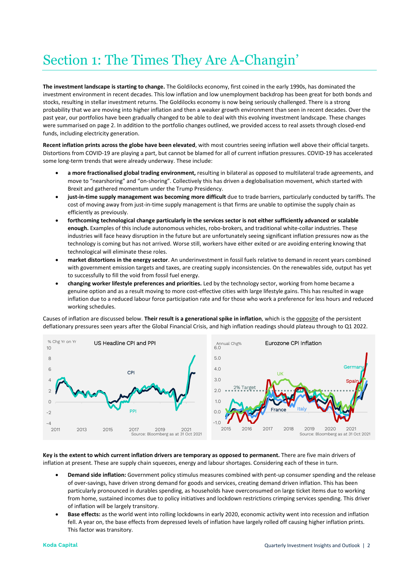# Section 1: The Times They Are A-Changin'

**The investment landscape is starting to change.** The Goldilocks economy, first coined in the early 1990s, has dominated the investment environment in recent decades. This low inflation and low unemployment backdrop has been great for both bonds and stocks, resulting in stellar investment returns. The Goldilocks economy is now being seriously challenged. There is a strong probability that we are moving into higher inflation and then a weaker growth environment than seen in recent decades. Over the past year, our portfolios have been gradually changed to be able to deal with this evolving investment landscape. These changes were summarised on page 2. In addition to the portfolio changes outlined, we provided access to real assets through closed-end funds, including electricity generation.

**Recent inflation prints across the globe have been elevated**, with most countries seeing inflation well above their official targets. Distortions from COVID-19 are playing a part, but cannot be blamed for all of current inflation pressures. COVID-19 has accelerated some long-term trends that were already underway. These include:

- **a more fractionalised global trading environment,** resulting in bilateral as opposed to multilateral trade agreements, and move to "nearshoring" and "on-shoring". Collectively this has driven a deglobalisation movement, which started with Brexit and gathered momentum under the Trump Presidency.
- **just-in-time supply management was becoming more difficult** due to trade barriers, particularly conducted by tariffs. The cost of moving away from just-in-time supply management is that firms are unable to optimise the supply chain as efficiently as previously.
- **forthcoming technological change particularly in the services sector is not either sufficiently advanced or scalable enough.** Examples of this include autonomous vehicles, robo-brokers, and traditional white-collar industries. These industries will face heavy disruption in the future but are unfortunately seeing significant inflation pressures now as the technology is coming but has not arrived. Worse still, workers have either exited or are avoiding entering knowing that technological will eliminate these roles.
- **market distortions in the energy sector**. An underinvestment in fossil fuels relative to demand in recent years combined with government emission targets and taxes, are creating supply inconsistencies. On the renewables side, output has yet to successfully to fill the void from fossil fuel energy.
- **changing worker lifestyle preferences and priorities.** Led by the technology sector, working from home became a genuine option and as a result moving to more cost-effective cities with large lifestyle gains. This has resulted in wage inflation due to a reduced labour force participation rate and for those who work a preference for less hours and reduced working schedules.

Causes of inflation are discussed below. **Their result is a generational spike in inflation**, which is the opposite of the persistent deflationary pressures seen years after the Global Financial Crisis, and high inflation readings should plateau through to Q1 2022.





**Key is the extent to which current inflation drivers are temporary as opposed to permanent.** There are five main drivers of inflation at present. These are supply chain squeezes, energy and labour shortages. Considering each of these in turn.

- **Demand side inflation:** Government policy stimulus measures combined with pent-up consumer spending and the release of over-savings, have driven strong demand for goods and services, creating demand driven inflation. This has been particularly pronounced in durables spending, as households have overconsumed on large ticket items due to working from home, sustained incomes due to policy initiatives and lockdown restrictions crimping services spending. This driver of inflation will be largely transitory.
- **Base effects:** as the world went into rolling lockdowns in early 2020, economic activity went into recession and inflation fell. A year on, the base effects from depressed levels of inflation have largely rolled off causing higher inflation prints. This factor was transitory.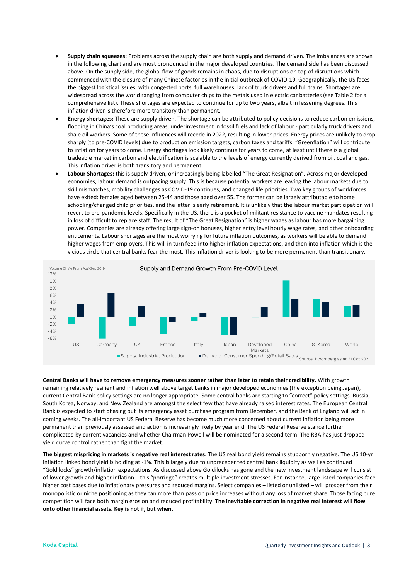- **Supply chain squeezes:** Problems across the supply chain are both supply and demand driven. The imbalances are shown in the following chart and are most pronounced in the major developed countries. The demand side has been discussed above. On the supply side, the global flow of goods remains in chaos, due to disruptions on top of disruptions which commenced with the closure of many Chinese factories in the initial outbreak of COVID-19. Geographically, the US faces the biggest logistical issues, with congested ports, full warehouses, lack of truck drivers and full trains. Shortages are widespread across the world ranging from computer chips to the metals used in electric car batteries (see Table 2 for a comprehensive list). These shortages are expected to continue for up to two years, albeit in lessening degrees. This inflation driver is therefore more transitory than permanent.
- **Energy shortages:** These are supply driven. The shortage can be attributed to policy decisions to reduce carbon emissions, flooding in China's coal producing areas, underinvestment in fossil fuels and lack of labour - particularly truck drivers and shale oil workers. Some of these influences will recede in 2022, resulting in lower prices. Energy prices are unlikely to drop sharply (to pre-COVID levels) due to production emission targets, carbon taxes and tariffs. "Greenflation" will contribute to inflation for years to come. Energy shortages look likely continue for years to come, at least until there is a global tradeable market in carbon and electrification is scalable to the levels of energy currently derived from oil, coal and gas. This inflation driver is both transitory and permanent.
- **Labour Shortages:** this is supply driven, or increasingly being labelled "The Great Resignation". Across major developed economies, labour demand is outpacing supply. This is because potential workers are leaving the labour markets due to skill mismatches, mobility challenges as COVID-19 continues, and changed life priorities. Two key groups of workforces have exited: females aged between 25-44 and those aged over 55. The former can be largely attributable to home schooling/changed child priorities, and the latter is early retirement. It is unlikely that the labour market participation will revert to pre-pandemic levels. Specifically in the US, there is a pocket of militant resistance to vaccine mandates resulting in loss of difficult to replace staff. The result of "The Great Resignation" is higher wages as labour has more bargaining power. Companies are already offering large sign-on bonuses, higher entry level hourly wage rates, and other onboarding enticements. Labour shortages are the most worrying for future inflation outcomes, as workers will be able to demand higher wages from employers. This will in turn feed into higher inflation expectations, and then into inflation which is the vicious circle that central banks fear the most. This inflation driver is looking to be more permanent than transitionary.



**Central Banks will have to remove emergency measures sooner rather than later to retain their credibility.** With growth remaining relatively resilient and inflation well above target banks in major developed economies (the exception being Japan), current Central Bank policy settings are no longer appropriate. Some central banks are starting to "correct" policy settings. Russia, South Korea, Norway, and New Zealand are amongst the select few that have already raised interest rates. The European Central Bank is expected to start phasing out its emergency asset purchase program from December, and the Bank of England will act in coming weeks. The all-important US Federal Reserve has become much more concerned about current inflation being more permanent than previously assessed and action is increasingly likely by year end. The US Federal Reserve stance further complicated by current vacancies and whether Chairman Powell will be nominated for a second term. The RBA has just dropped yield curve control rather than fight the market.

**The biggest mispricing in markets is negative real interest rates.** The US real bond yield remains stubbornly negative. The US 10-yr inflation linked bond yield is holding at -1%. This is largely due to unprecedented central bank liquidity as well as continued "Goldilocks" growth/inflation expectations. As discussed above Goldilocks has gone and the new investment landscape will consist of lower growth and higher inflation – this "porridge" creates multiple investment stresses. For instance, large listed companies face higher cost bases due to inflationary pressures and reduced margins. Select companies – listed or unlisted – will prosper from their monopolistic or niche positioning as they can more than pass on price increases without any loss of market share. Those facing pure competition will face both margin erosion and reduced profitability. **The inevitable correction in negative real interest will flow onto other financial assets. Key is not if, but when.**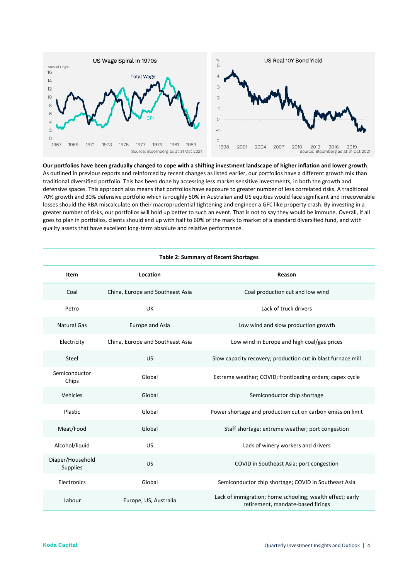

**Our portfolios have been gradually changed to cope with a shifting investment landscape of higher inflation and lower growth**. As outlined in previous reports and reinforced by recent changes as listed earlier, our portfolios have a different growth mix than traditional diversified portfolio. This has been done by accessing less market sensitive investments, in both the growth and defensive spaces. This approach also means that portfolios have exposure to greater number of less correlated risks. A traditional 70% growth and 30% defensive portfolio which is roughly 50% in Australian and US equities would face significant and irrecoverable losses should the RBA miscalculate on their macroprudential tightening and engineer a GFC like property crash. By investing in a greater number of risks, our portfolios will hold up better to such an event. That is not to say they would be immune. Overall, if all goes to plan in portfolios, clients should end up with half to 60% of the mark to market of a standard diversified fund, and with quality assets that have excellent long-term absolute and relative performance.

| <b>Table 2: Summary of Recent Shortages</b> |                                  |                                                                                                |  |  |  |  |  |  |  |
|---------------------------------------------|----------------------------------|------------------------------------------------------------------------------------------------|--|--|--|--|--|--|--|
| Item                                        | Location                         | Reason                                                                                         |  |  |  |  |  |  |  |
| Coal                                        | China, Europe and Southeast Asia | Coal production cut and low wind                                                               |  |  |  |  |  |  |  |
| Petro                                       | UK                               | Lack of truck drivers                                                                          |  |  |  |  |  |  |  |
| <b>Natural Gas</b>                          | <b>Europe and Asia</b>           | Low wind and slow production growth                                                            |  |  |  |  |  |  |  |
| Electricity                                 | China, Europe and Southeast Asia | Low wind in Europe and high coal/gas prices                                                    |  |  |  |  |  |  |  |
| Steel                                       | <b>US</b>                        | Slow capacity recovery; production cut in blast furnace mill                                   |  |  |  |  |  |  |  |
| Semiconductor<br>Chips                      | Global                           | Extreme weather; COVID; frontloading orders; capex cycle                                       |  |  |  |  |  |  |  |
| Vehicles                                    | Global                           | Semiconductor chip shortage                                                                    |  |  |  |  |  |  |  |
| Plastic                                     | Global                           | Power shortage and production cut on carbon emission limit                                     |  |  |  |  |  |  |  |
| Meat/Food                                   | Global                           | Staff shortage; extreme weather; port congestion                                               |  |  |  |  |  |  |  |
| Alcohol/liquid                              | <b>US</b>                        | Lack of winery workers and drivers                                                             |  |  |  |  |  |  |  |
| Diaper/Household<br>Supplies                | <b>US</b>                        | COVID in Southeast Asia; port congestion                                                       |  |  |  |  |  |  |  |
| Electronics                                 | Global                           | Semiconductor chip shortage; COVID in Southeast Asia                                           |  |  |  |  |  |  |  |
| Labour                                      | Europe, US, Australia            | Lack of immigration; home schooling; wealth effect; early<br>retirement, mandate-based firings |  |  |  |  |  |  |  |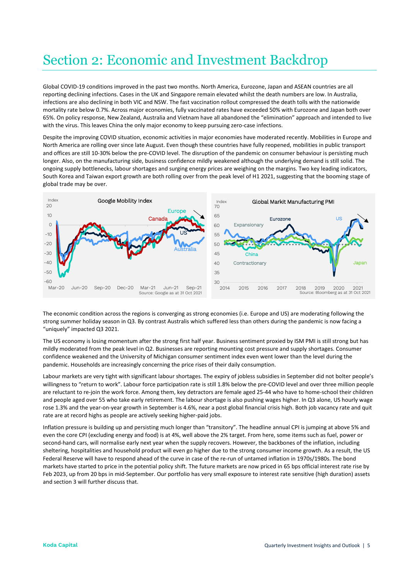## Section 2: Economic and Investment Backdrop

Global COVID-19 conditions improved in the past two months. North America, Eurozone, Japan and ASEAN countries are all reporting declining infections. Cases in the UK and Singapore remain elevated whilst the death numbers are low. In Australia, infections are also declining in both VIC and NSW. The fast vaccination rollout compressed the death tolls with the nationwide mortality rate below 0.7%. Across major economies, fully vaccinated rates have exceeded 50% with Eurozone and Japan both over 65%. On policy response, New Zealand, Australia and Vietnam have all abandoned the "elimination" approach and intended to live with the virus. This leaves China the only major economy to keep pursuing zero-case infections.

Despite the improving COVID situation, economic activities in major economies have moderated recently. Mobilities in Europe and North America are rolling over since late August. Even though these countries have fully reopened, mobilities in public transport and offices are still 10-30% below the pre-COVID level. The disruption of the pandemic on consumer behaviour is persisting much longer. Also, on the manufacturing side, business confidence mildly weakened although the underlying demand is still solid. The ongoing supply bottlenecks, labour shortages and surging energy prices are weighing on the margins. Two key leading indicators, South Korea and Taiwan export growth are both rolling over from the peak level of H1 2021, suggesting that the booming stage of global trade may be over.



The economic condition across the regions is converging as strong economies (i.e. Europe and US) are moderating following the strong summer holiday season in Q3. By contrast Australis which suffered less than others during the pandemic is now facing a "uniquely" impacted Q3 2021.

The US economy is losing momentum after the strong first half year. Business sentiment proxied by ISM PMI is still strong but has mildly moderated from the peak level in Q2. Businesses are reporting mounting cost pressure and supply shortages. Consumer confidence weakened and the University of Michigan consumer sentiment index even went lower than the level during the pandemic. Households are increasingly concerning the price rises of their daily consumption.

Labour markets are very tight with significant labour shortages. The expiry of jobless subsidies in September did not bolter people's willingness to "return to work". Labour force participation rate is still 1.8% below the pre-COVID level and over three million people are reluctant to re-join the work force. Among them, key detractors are female aged 25-44 who have to home-school their children and people aged over 55 who take early retirement. The labour shortage is also pushing wages higher. In Q3 alone, US hourly wage rose 1.3% and the year-on-year growth in September is 4.6%, near a post global financial crisis high. Both job vacancy rate and quit rate are at record highs as people are actively seeking higher-paid jobs.

Inflation pressure is building up and persisting much longer than "transitory". The headline annual CPI is jumping at above 5% and even the core CPI (excluding energy and food) is at 4%, well above the 2% target. From here, some items such as fuel, power or second-hand cars, will normalise early next year when the supply recovers. However, the backbones of the inflation, including sheltering, hospitalities and household product will even go higher due to the strong consumer income growth. As a result, the US Federal Reserve will have to respond ahead of the curve in case of the re-run of untamed inflation in 1970s/1980s. The bond markets have started to price in the potential policy shift. The future markets are now priced in 65 bps official interest rate rise by Feb 2023, up from 20 bps in mid-September. Our portfolio has very small exposure to interest rate sensitive (high duration) assets and section 3 will further discuss that.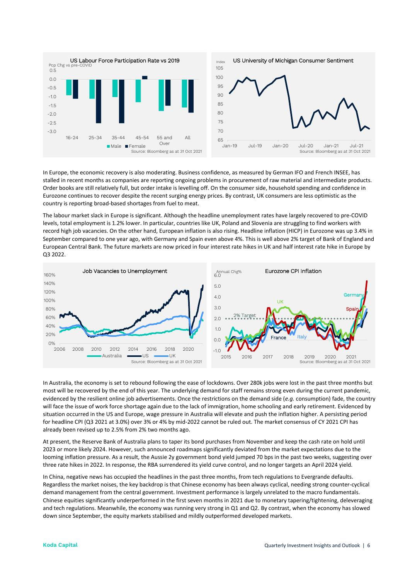

In Europe, the economic recovery is also moderating. Business confidence, as measured by German IFO and French INSEE, has stalled in recent months as companies are reporting ongoing problems in procurement of raw material and intermediate products. Order books are still relatively full, but order intake is levelling off. On the consumer side, household spending and confidence in Eurozone continues to recover despite the recent surging energy prices. By contrast, UK consumers are less optimistic as the country is reporting broad-based shortages from fuel to meat.

The labour market slack in Europe is significant. Although the headline unemployment rates have largely recovered to pre-COVID levels, total employment is 1.2% lower. In particular, countries like UK, Poland and Slovenia are struggling to find workers with record high job vacancies. On the other hand, European inflation is also rising. Headline inflation (HICP) in Eurozone was up 3.4% in September compared to one year ago, with Germany and Spain even above 4%. This is well above 2% target of Bank of England and European Central Bank. The future markets are now priced in four interest rate hikes in UK and half interest rate hike in Europe by Q3 2022.



In Australia, the economy is set to rebound following the ease of lockdowns. Over 280k jobs were lost in the past three months but most will be recovered by the end of this year. The underlying demand for staff remains strong even during the current pandemic, evidenced by the resilient online job advertisements. Once the restrictions on the demand side (*e.g.* consumption) fade, the country will face the issue of work force shortage again due to the lack of immigration, home schooling and early retirement. Evidenced by situation occurred in the US and Europe, wage pressure in Australia will elevate and push the inflation higher. A persisting period for headline CPI (Q3 2021 at 3.0%) over 3% or 4% by mid-2022 cannot be ruled out. The market consensus of CY 2021 CPI has already been revised up to 2.5% from 2% two months ago.

At present, the Reserve Bank of Australia plans to taper its bond purchases from November and keep the cash rate on hold until 2023 or more likely 2024. However, such announced roadmaps significantly deviated from the market expectations due to the looming inflation pressure. As a result, the Aussie 2y government bond yield jumped 70 bps in the past two weeks, suggesting over three rate hikes in 2022. In response, the RBA surrendered its yield curve control, and no longer targets an April 2024 yield.

In China, negative news has occupied the headlines in the past three months, from tech regulations to Evergrande defaults. Regardless the market noises, the key backdrop is that Chinese economy has been always cyclical, needing strong counter-cyclical demand management from the central government. Investment performance is largely unrelated to the macro fundamentals. Chinese equities significantly underperformed in the first seven months in 2021 due to monetary tapering/tightening, deleveraging and tech regulations. Meanwhile, the economy was running very strong in Q1 and Q2. By contrast, when the economy has slowed down since September, the equity markets stabilised and mildly outperformed developed markets.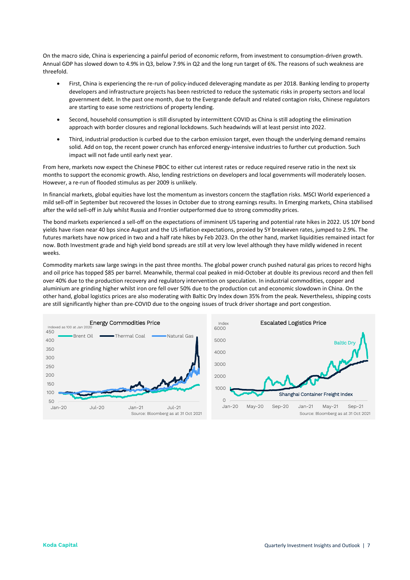On the macro side, China is experiencing a painful period of economic reform, from investment to consumption-driven growth. Annual GDP has slowed down to 4.9% in Q3, below 7.9% in Q2 and the long run target of 6%. The reasons of such weakness are threefold.

- First, China is experiencing the re-run of policy-induced deleveraging mandate as per 2018. Banking lending to property developers and infrastructure projects has been restricted to reduce the systematic risks in property sectors and local government debt. In the past one month, due to the Evergrande default and related contagion risks, Chinese regulators are starting to ease some restrictions of property lending.
- Second, household consumption is still disrupted by intermittent COVID as China is still adopting the elimination approach with border closures and regional lockdowns. Such headwinds will at least persist into 2022.
- Third, industrial production is curbed due to the carbon emission target, even though the underlying demand remains solid. Add on top, the recent power crunch has enforced energy-intensive industries to further cut production. Such impact will not fade until early next year.

From here, markets now expect the Chinese PBOC to either cut interest rates or reduce required reserve ratio in the next six months to support the economic growth. Also, lending restrictions on developers and local governments will moderately loosen. However, a re-run of flooded stimulus as per 2009 is unlikely.

In financial markets, global equities have lost the momentum as investors concern the stagflation risks. MSCI World experienced a mild sell-off in September but recovered the losses in October due to strong earnings results. In Emerging markets, China stabilised after the wild sell-off in July whilst Russia and Frontier outperformed due to strong commodity prices.

The bond markets experienced a sell-off on the expectations of imminent US tapering and potential rate hikes in 2022. US 10Y bond yields have risen near 40 bps since August and the US inflation expectations, proxied by 5Y breakeven rates, jumped to 2.9%. The futures markets have now priced in two and a half rate hikes by Feb 2023. On the other hand, market liquidities remained intact for now. Both Investment grade and high yield bond spreads are still at very low level although they have mildly widened in recent weeks.

Commodity markets saw large swings in the past three months. The global power crunch pushed natural gas prices to record highs and oil price has topped \$85 per barrel. Meanwhile, thermal coal peaked in mid-October at double its previous record and then fell over 40% due to the production recovery and regulatory intervention on speculation. In industrial commodities, copper and aluminium are grinding higher whilst iron ore fell over 50% due to the production cut and economic slowdown in China. On the other hand, global logistics prices are also moderating with Baltic Dry Index down 35% from the peak. Nevertheless, shipping costs are still significantly higher than pre-COVID due to the ongoing issues of truck driver shortage and port congestion.



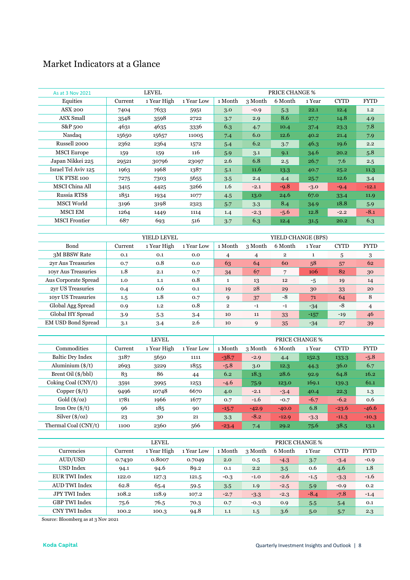## Market Indicators at a Glance

| As at 3 Nov 2021      |         | <b>LEVEL</b> |            |         |         | <b>PRICE CHANGE %</b> |        |             |             |
|-----------------------|---------|--------------|------------|---------|---------|-----------------------|--------|-------------|-------------|
| Equities              | Current | 1 Year High  | 1 Year Low | 1 Month | 3 Month | 6 Month               | 1 Year | <b>CYTD</b> | <b>FYTD</b> |
| <b>ASX 200</b>        | 7404    | 7633         | 5951       | 3.0     | $-0.9$  | 5.3                   | 22.1   | 12.4        | 1.2         |
| ASX Small             | 3548    | 3598         | 2722       | 3.7     | 2.9     | 8.6                   | 27.7   | 14.8        | 4.9         |
| S&P 500               | 4631    | 4635         | 3336       | 6.3     | 4.7     | 10.4                  | 37.4   | 23.3        | 7.8         |
| Nasdaq                | 15650   | 15657        | 11005      | 7.4     | 6.0     | 12.6                  | 40.2   | 21.4        | 7.9         |
| Russell 2000          | 2362    | 2364         | 1572       | 5.4     | 6.2     | 3.7                   | 46.3   | 19.6        | 2.2         |
| <b>MSCI Europe</b>    | 159     | 159          | 116        | 5.9     | 3.1     | 9.1                   | 34.6   | 20.2        | 5.8         |
| Japan Nikkei 225      | 29521   | 30796        | 23097      | 2.6     | 6.8     | 2.5                   | 26.7   | 7.6         | 2.5         |
| Israel Tel Aviv 125   | 1963    | 1968         | 1387       | 5.1     | 11.6    | 13.3                  | 40.7   | 25.2        | 11.3        |
| UK FTSE 100           | 7275    | 7303         | 5655       | 3.5     | 2.4     | 4.4                   | 25.7   | 12.6        | 3.4         |
| <b>MSCI</b> China All | 3415    | 4425         | 3266       | 1.6     | $-2.1$  | $-9.8$                | $-3.0$ | $-9.4$      | $-12.1$     |
| Russia RTS\$          | 1851    | 1934         | 1077       | 4.5     | 13.0    | 24.6                  | 67.0   | 33.4        | 11.9        |
| MSCI World            | 3196    | 3198         | 2323       | 5.7     | 3.3     | 8.4                   | 34.9   | 18.8        | 5.9         |
| <b>MSCI EM</b>        | 1264    | 1449         | 1114       | 1.4     | $-2.3$  | $-5.6$                | 12.8   | $-2.2$      | $-8.1$      |
| <b>MSCI</b> Frontier  | 687     | 693          | 516        | 3.7     | 6.3     | 12.4                  | 31.5   | 20.2        | 6.3         |

|                           |         | YIELD LEVEL |            |                |         | YIELD CHANGE (BPS) |        |             |                |
|---------------------------|---------|-------------|------------|----------------|---------|--------------------|--------|-------------|----------------|
| Bond                      | Current | 1 Year High | 1 Year Low | 1 Month        | 3 Month | 6 Month            | 1 Year | <b>CYTD</b> | <b>FYTD</b>    |
| 3M BBSW Rate              | 0.1     | 0.1         | 0.0        | 4              | 4       | $\overline{2}$     | 1      | 5           | 3              |
| 2yr Aus Treasuries        | 0.7     | 0.8         | 0.0        | 63             | 64      | 60                 | 58     | 57          | 62             |
| 10yr Aus Treasuries       | 1.8     | 2.1         | 0.7        | 34             | 67      | 7                  | 106    | 82          | 30             |
| Aus Corporate Spread      | 1.0     | 1.1         | 0.8        | 1              | 13      | 12                 | $-5$   | 19          | 14             |
| 2yr US Treasuries         | 0.4     | 0.6         | 0.1        | 19             | 28      | 29                 | 30     | 33          | 20             |
| 10yr US Treasuries        | $1.5\,$ | 1.8         | 0.7        | 9              | 37      | $-8$               | 71     | 64          | 8              |
| Global Agg Spread         | 0.9     | 1.2         | 0.8        | $\overline{2}$ | $-1$    | $-1$               | $-34$  | $-8$        | $\overline{4}$ |
| Global HY Spread          | 3.9     | 5.3         | 3.4        | 10             | 11      | 33                 | $-157$ | $-19$       | 46             |
| <b>EM USD Bond Spread</b> | 3.1     | 3.4         | 2.6        | 10             | 9       | 35                 | $-34$  | 27          | 39             |

|                             |         | <b>LEVEL</b> |            |         |         |         | <b>PRICE CHANGE %</b> |             |             |
|-----------------------------|---------|--------------|------------|---------|---------|---------|-----------------------|-------------|-------------|
| Commodities                 | Current | 1 Year High  | 1 Year Low | 1 Month | 3 Month | 6 Month | 1 Year                | <b>CYTD</b> | <b>FYTD</b> |
| <b>Baltic Dry Index</b>     | 3187    | 5650         | 1111       | $-38.7$ | $-2.9$  | 4.4     | 152.3                 | 133.3       | $-5.8$      |
| Aluminium $(\frac{1}{5})$   | 2693    | 3229         | 1855       | $-5.8$  | 3.0     | 12.3    | 44.3                  | 36.0        | 6.7         |
| Brent Oil (\$/bbl)          | 83      | 86           | 44         | 6.2     | 18.3    | 28.6    | 92.9                  | 64.8        | 16.2        |
| Coking Coal (CNY/t)         | 3591    | 3995         | 1253       | $-4.6$  | 75.9    | 123.0   | 169.1                 | 139.3       | 61.1        |
| Copper $(\frac{4}{5})$      | 9496    | 10748        | 6670       | 4.0     | $-2.1$  | $-3.4$  | 40.4                  | 22.3        | 1.3         |
| Gold (\$/oz)                | 1781    | 1966         | 1677       | 0.7     | $-1.6$  | $-0.7$  | $-6.7$                | $-6.2$      | 0.6         |
| Iron Ore $(\frac{4}{t})$    | 96      | 185          | 90         | $-15.7$ | $-42.9$ | $-40.0$ | 6.8                   | $-23.6$     | $-46.6$     |
| Silver $(\frac{6}{\alpha})$ | 23      | 30           | 21         | 3.3     | $-8.2$  | $-12.9$ | $-3.3$                | $-11.3$     | $-10.3$     |
| Thermal Coal (CNY/t)        | 1100    | 2360         | 566        | $-23.4$ | 7.4     | 29.2    | 75.6                  | 38.5        | 13.1        |

|                      |         | <b>LEVEL</b> |            | <b>PRICE CHANGE %</b> |         |         |        |             |             |  |
|----------------------|---------|--------------|------------|-----------------------|---------|---------|--------|-------------|-------------|--|
| Currencies           | Current | 1 Year High  | 1 Year Low | 1 Month               | 3 Month | 6 Month | 1 Year | <b>CYTD</b> | <b>FYTD</b> |  |
| AUD/USD              | 0.7430  | 0.8007       | 0.7049     | 2.0                   | 0.5     | $-4.3$  | 3.7    | $-3.4$      | $-0.9$      |  |
| USD Index            | 94.1    | 94.6         | 89.2       | 0.1                   | 2.2     | 3.5     | 0.6    | 4.6         | 1.8         |  |
| EUR TWI Index        | 122.0   | 127.3        | 121.5      | $-0.3$                | $-1.0$  | $-2.6$  | $-1.5$ | $-3.3$      | $-1.6$      |  |
| AUD TWI Index        | 62.8    | 65.4         | 59.5       | 3.5                   | 1.9     | $-2.5$  | 5.9    | $-0.9$      | 0.2         |  |
| <b>JPY TWI Index</b> | 108.2   | 118.9        | 107.2      | $-2.7$                | $-3.3$  | $-2.3$  | $-8.4$ | $-7.8$      | $-1.4$      |  |
| GBP TWI Index        | 75.6    | 76.5         | 70.3       | 0.7                   | $-0.3$  | 0.9     | 5.5    | 5.4         | 0.1         |  |
| CNY TWI Index        | 100.2   | 100.3        | 94.8       | 1.1                   | 1.5     | 3.6     | 5.0    | 5.7         | 2.3         |  |

Source: Bloomberg as at 3 Nov 2021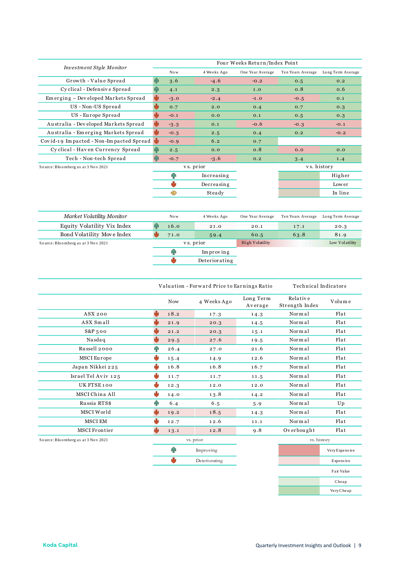| <b>Investment Style Monitor</b>         |     |        |             | Four Weeks Return/Index Point |                   |                   |
|-----------------------------------------|-----|--------|-------------|-------------------------------|-------------------|-------------------|
|                                         |     | Now    | 4 Weeks Ago | One Year Average              | Ten Years Average | Long Term Average |
| Growth - Value Spread                   | ЙĤ  | 3.6    | $-4.6$      | $-0.2$                        | 0.5               | 0.2               |
| Cyclical - Defensive Spread             | ИR  | 4.1    | 2.3         | 1.0                           | 0.8               | 0.6               |
| Emerging - Developed Markets Spread     | ψ   | $-3.0$ | $-2.4$      | $-1.0$                        | $-0.5$            | 0.1               |
| US - Non-US Spread                      |     | 0.7    | 2.0         | 0.4                           | 0.7               | 0.3               |
| US - Europe Spread                      | وآل | $-0.1$ | 0.0         | 0.1                           | 0.5               | 0.3               |
| Australia - Developed Markets Spread    |     | $-3.3$ | 0.1         | $-0.6$                        | $-0.3$            | $-0.1$            |
| Australia - Emerging Markets Spread     | ŵ   | $-0.3$ | 2.5         | 0.4                           | 0.2               | $-0.2$            |
| Covid-19 Impacted - Non-Impacted Spread | N.  | $-0.9$ | 6.2         | 0.7                           |                   |                   |
| Cyclical - Haven Currency Spread        | ЙĤ  | 2.5    | 0.0         | 0.8                           | 0.0               | 0.0               |
| Tech - Non-tech Spread                  | ЙĤ  | $-0.7$ | $-3.6$      | 0.2                           | 3.4               | 1.4               |
| Source: Bloomberg as at 3 Nov 2021      |     |        | vs. prior   |                               |                   | vs. history       |
|                                         |     | ЙĤ     | Increasing  |                               |                   | Higher            |
|                                         |     |        | Decreasing  |                               |                   | Lower             |
|                                         |     | ⊕      | Steady      |                               |                   | In line           |
|                                         |     |        |             |                               |                   |                   |

| Market Volatility Monitor          |           | Now. | 4 Weeks Ago   | One Year Average       | Ten Years Average | Long Term Average |
|------------------------------------|-----------|------|---------------|------------------------|-------------------|-------------------|
| Equity Volatility Vix Index        |           | 16.0 | 21.0          | 20.1                   | 17.1              | 20.3              |
| Bond Volatility Move Index         |           | 71.0 | 59.4          | 60.5                   | 63.8              | 81.9              |
| Source: Bloomberg as at 3 Nov 2021 | vs. prior |      |               | <b>High Volatility</b> |                   | Low Volatility    |
|                                    |           |      | Improving     |                        |                   |                   |
|                                    |           |      | Deteriorating |                        |                   |                   |

|                                    |      |                     | Valuation - Forward Price to Earnings Ratio | Technical Indicators |                            |        |
|------------------------------------|------|---------------------|---------------------------------------------|----------------------|----------------------------|--------|
|                                    |      | <b>Now</b>          | 4 Weeks Ago                                 | Long Term<br>Average | Relative<br>Strength Index | Volume |
| ASX 200                            | والح | 18.2                | 17.3                                        | 14.3                 | Normal                     | Flat   |
| ASX Small                          |      | 21.9                | 20.3                                        | 14.5                 | Normal                     | Flat   |
| $S&P_500$                          |      | 21.2                | 20.3                                        | 15.1                 | Normal                     | Flat   |
| Nasdaq                             |      | 29.5                | 27.6                                        | 19.5                 | Normal                     | Flat   |
| Russell 2000                       | ЯR   | 26.4                | 27.0                                        | 21.6                 | Normal                     | Flat   |
| MSCI Europe                        | وآلو | 15.4                | 14.9                                        | 12.6                 | Normal                     | Flat   |
| Japan Nikkei 225                   | ۴b   | 16.8                | 16.8                                        | 16.7                 | Normal                     | Flat   |
| Israel Tel Aviv 125                |      | 11.7                | 11.7                                        | 11.5                 | Normal                     | Flat   |
| UK FTSE 100                        |      | 12.3                | 12.0                                        | 12.0                 | Normal                     | Flat   |
| MSCI China All                     |      | 14.0                | 13.8                                        | 14.2                 | Normal                     | Flat   |
| Russia RTS\$                       | ЙĤ   | 6.4                 | 6.5                                         | 5.9                  | Normal                     | Up     |
| MSCI World                         |      | 19.2                | 18.5                                        | 14.3                 | Normal                     | Flat   |
| MSCI EM                            |      | 12.7                | 12.6                                        | 11.1                 | Normal                     | Flat   |
| <b>MSCI Frontier</b>               |      | 13.1                | 12.8                                        | 9.8                  | Overbought                 | Flat   |
| Source: Bloomberg as at 3 Nov 2021 |      |                     | vs. prior                                   |                      | vs. history                |        |
|                                    |      | and the contract of |                                             |                      |                            |        |

| Improving     |
|---------------|
| Deteriorating |

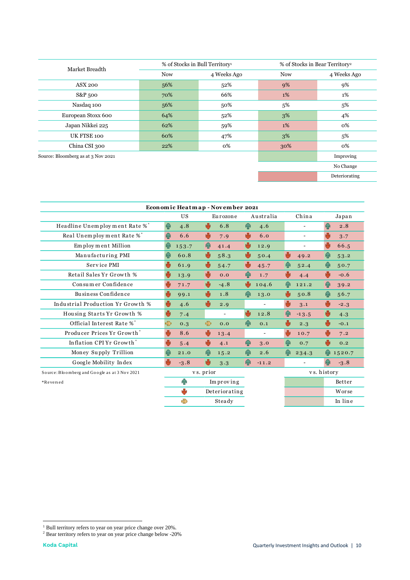| Market Breadth                     | % of Stocks in Bull Territory <sup>1</sup> |             | % of Stocks in Bear Territory <sup>2</sup> |               |
|------------------------------------|--------------------------------------------|-------------|--------------------------------------------|---------------|
|                                    | <b>Now</b>                                 | 4 Weeks Ago | <b>Now</b>                                 | 4 Weeks Ago   |
| <b>ASX 200</b>                     | 56%                                        | 52%         | 9%                                         | 9%            |
| S&P 500                            | 70%                                        | 66%         | 1%                                         | 1%            |
| Nasdaq 100                         | 56%                                        | 50%         | 5%                                         | 5%            |
| European Stoxx 600                 | 64%                                        | 52%         | 3%                                         | 4%            |
| Japan Nikkei 225                   | 62%                                        | 59%         | 1%                                         | 0%            |
| UK FTSE 100                        | 60%                                        | 47%         | 3%                                         | 5%            |
| China CSI 300                      | 22%                                        | 0%          | 30%                                        | 0%            |
| Source: Bloomberg as at 3 Nov 2021 |                                            |             |                                            | Improving     |
|                                    |                                            |             |                                            | No Change     |
|                                    |                                            |             |                                            | Deteriorating |

| 伞<br>个<br>$\mathbf \Phi$<br>$\mathbf \Phi$<br>J<br>U | <b>US</b><br>4.8<br>6.6<br>153.7<br>60.8<br>61.9 | $\overline{\mathbf{v}}$<br>$\ddot{\phantom{1}}$<br>个<br>₩                            | Eurozone<br>6.8<br>7.9<br>41.4 | $\hat{\mathbf{T}}$<br>U<br>رال | Australia<br>4.6<br>6.0      |                      | China<br>$\overline{a}$ | $\overline{\mathbf{P}}$<br>$\ddot{\phantom{1}}$                            | Japan<br>2.8 |
|------------------------------------------------------|--------------------------------------------------|--------------------------------------------------------------------------------------|--------------------------------|--------------------------------|------------------------------|----------------------|-------------------------|----------------------------------------------------------------------------|--------------|
|                                                      |                                                  |                                                                                      |                                |                                |                              |                      |                         |                                                                            |              |
|                                                      |                                                  |                                                                                      |                                |                                |                              |                      |                         |                                                                            |              |
|                                                      |                                                  |                                                                                      |                                |                                |                              |                      |                         |                                                                            | 3.7          |
|                                                      |                                                  |                                                                                      |                                |                                | 12.9                         |                      | $\overline{a}$          | ₩                                                                          | 66.5         |
|                                                      |                                                  |                                                                                      | 58.3                           | U                              | 50.4                         | ₩                    | 49.2                    | 4R                                                                         | 53.2         |
|                                                      |                                                  | $\ddot{\phantom{1}}$                                                                 | 54.7                           | J                              | 45.7                         | $\hat{\mathbf{T}}$   | 52.4                    | $\hat{\mathbf{r}}$                                                         | 50.7         |
|                                                      | 13.9                                             | $\ddot{\phantom{a}}$                                                                 | 0.0                            | 牵                              | 1.7                          | U                    | 4.4                     | $\ddot{\phantom{a}}$                                                       | $-0.6$       |
| U                                                    | 71.7                                             | $\ddot{\phantom{a}}$                                                                 | $-4.8$                         | U                              | 104.6                        | $\hat{\mathbf{T}}$   | 121.2                   | $\bf{P}$                                                                   | 39.2         |
| Ü                                                    | 99.1                                             | $\ddot{\phantom{1}}$                                                                 | 1.8                            | $\hat{\mathbf{r}}$             | 13.0                         | ₩                    | 50.8                    | $\hat{\mathbf{r}}$                                                         | 56.7         |
| U                                                    | 4.6                                              | $\ddot{\phantom{a}}$                                                                 | 2.9                            |                                | $\qquad \qquad \blacksquare$ | $\ddot{\phantom{a}}$ | 3.1                     | ₩                                                                          | $-2.3$       |
| ψ                                                    | 7.4                                              |                                                                                      | $\frac{1}{2}$                  | رال                            | 12.8                         | 伞                    | $-13.5$                 | $\ddot{\phantom{1}}$                                                       | 4.3          |
| Ð                                                    | 0.3                                              | $\Rightarrow$                                                                        | 0.0                            | $\bigoplus$                    | 0.1                          | ⊕                    | 2.3                     | ψ                                                                          | $-0.1$       |
| U                                                    | 8.6                                              | ₩                                                                                    | 13.4                           |                                |                              | U                    | 10.7                    | ₩                                                                          | 7.2          |
| U                                                    | 5.4                                              | $\ddot{\phantom{a}}$                                                                 | 4.1                            | 4P                             | 3.0                          | 个                    | 0.7                     | J                                                                          | 0.2          |
| $\ddot{\textbf{r}}$                                  | 21.0                                             | $\bigoplus$                                                                          | 15.2                           | qр                             | 2.6                          | $\bf{P}$             | 234.3                   |                                                                            | 1520.7       |
|                                                      | $-3.8$                                           |                                                                                      | 3.3                            | $\bigoplus$                    | $-11.2$                      |                      |                         | $\ddot{\textbf{r}}$                                                        | $-3.8$       |
| vs. prior                                            |                                                  |                                                                                      |                                |                                |                              | vs. history          |                         |                                                                            |              |
|                                                      |                                                  |                                                                                      |                                |                                |                              |                      |                         |                                                                            | Better       |
|                                                      |                                                  |                                                                                      |                                |                                |                              |                      |                         |                                                                            | Worse        |
|                                                      | ♣                                                |                                                                                      |                                |                                |                              |                      |                         |                                                                            | In line      |
|                                                      |                                                  |                                                                                      |                                |                                |                              |                      |                         |                                                                            |              |
|                                                      | Ÿ                                                | 4P<br>J<br><sup>1</sup> Bull territory refers to year on year price change over 20%. | $\ddot{\phantom{a}}$           | Improving<br>Steady            | Deteriorating                |                      |                         | <sup>2</sup> Bear territory refers to year on year price change below -20% |              |

 $^{\rm 1}$  Bull territory refers to year on year price change over 20%.  $^{\rm 2}$  Bear territory refers to year on year price change below -20%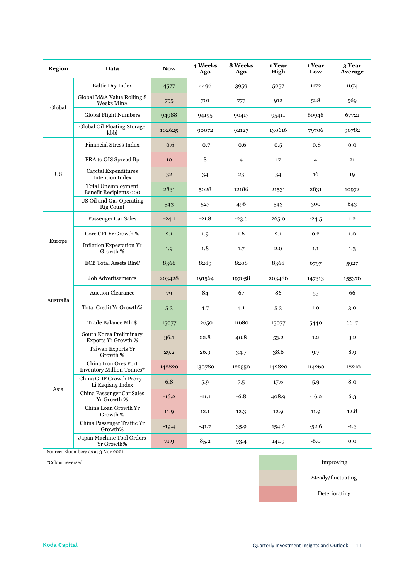| <b>Region</b> | Data                                                     | <b>Now</b> | 4 Weeks<br>Ago | 8 Weeks<br>Ago | 1 Year<br>High | 1 Year<br>Low  | 3 Year<br>Average |
|---------------|----------------------------------------------------------|------------|----------------|----------------|----------------|----------------|-------------------|
| Global        | <b>Baltic Dry Index</b>                                  | 4577       | 4496           | 3959           | 5057           | 1172           | 1674              |
|               | Global M&A Value Rolling 8<br>Weeks Mln\$                | 755        | 701            | 777            | 912            | 528            | 569               |
|               | <b>Global Flight Numbers</b>                             | 94988      | 94195          | 90417          | 95411          | 60948          | 67721             |
|               | Global Oil Floating Storage<br>kbbl                      | 102625     | 90072          | 92127          | 130616         | 79706          | 90782             |
| <b>US</b>     | <b>Financial Stress Index</b>                            | $-0.6$     | $-0.7$         | $-0.6$         | 0.5            | $-0.8$         | 0.0               |
|               | FRA to OIS Spread Bp                                     | 10         | 8              | $\overline{4}$ | 17             | $\overline{4}$ | 21                |
|               | Capital Expenditures<br><b>Intention Index</b>           | 32         | 34             | 23             | 34             | 16             | 19                |
|               | <b>Total Unemployment</b><br>Benefit Recipients 000      | 2831       | 5028           | 12186          | 21531          | 2831           | 10972             |
|               | US Oil and Gas Operating<br><b>Rig Count</b>             | 543        | 527            | 496            | 543            | 300            | 643               |
| Europe        | Passenger Car Sales                                      | $-24.1$    | $-21.8$        | $-23.6$        | 265.0          | $-24.5$        | 1.2               |
|               | Core CPI Yr Growth %                                     | 2.1        | 1.9            | 1.6            | 2.1            | 0.2            | 1.0               |
|               | Inflation Expectation Yr<br>Growth %                     | 1.9        | 1.8            | 1.7            | 2.0            | 1.1            | 1.3               |
|               | ECB Total Assets Bln€                                    | 8366       | 8289           | 8208           | 8368           | 6797           | 5927              |
|               | Job Advertisements                                       | 203428     | 191564         | 197058         | 203486         | 147313         | 155376            |
|               | <b>Auction Clearance</b>                                 | 79         | 84             | 67             | 86             | 55             | 66                |
| Australia     | Total Credit Yr Growth%                                  | 5.3        | 4.7            | 4.1            | 5.3            | 1.0            | 3.0               |
|               | Trade Balance Mln\$                                      | 15077      | 12650          | 11680          | 15077          | 5440           | 6617              |
| Asia          | South Korea Preliminary<br>Exports Yr Growth %           | 36.1       | 22.8           | 40.8           | 53.2           | 1,2            | 3.2               |
|               | Taiwan Exports Yr<br>Growth %                            | 29.2       | 26.9           | 34.7           | 38.6           | 9.7            | 8.9               |
|               | China Iron Ores Port<br><b>Inventory Million Tonnes*</b> | 142820     | 130780         | 122550         | 142820         | 114260         | 118210            |
|               | China GDP Growth Proxy -<br>Li Keqiang Index             | 6.8        | 5.9            | 7.5            | 17.6           | 5.9            | 8.0               |
|               | China Passenger Car Sales<br>Yr Growth %                 | $-16.2$    | $-11.1$        | $-6.8$         | 408.9          | $-16.2$        | 6.3               |
|               | China Loan Growth Yr<br>Growth %                         | 11.9       | 12.1           | 12.3           | 12.9           | 11.9           | 12.8              |
|               | China Passenger Traffic Yr<br>Growth%                    | $-19.4$    | $-41.7$        | 35.9           | 154.6          | $-52.6$        | $-1.3$            |
|               | Japan Machine Tool Orders<br>Yr Growth%                  | 71.9       | 85.2           | 93.4           | 141.9          | $-6.0$         | $_{\rm 0.0}$      |

Source: Bloomberg as at 3 Nov 2021

\*Colour reversed Improving

Steady/fluctuating

Deteriorating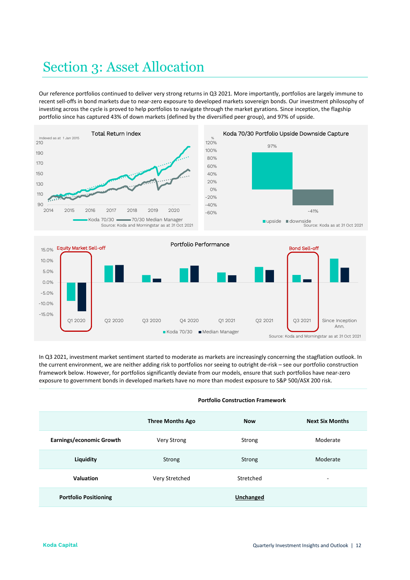## Section 3: Asset Allocation

Our reference portfolios continued to deliver very strong returns in Q3 2021. More importantly, portfolios are largely immune to recent sell-offs in bond markets due to near-zero exposure to developed markets sovereign bonds. Our investment philosophy of investing across the cycle is proved to help portfolios to navigate through the market gyrations. Since inception, the flagship portfolio since has captured 43% of down markets (defined by the diversified peer group), and 97% of upside.





In Q3 2021, investment market sentiment started to moderate as markets are increasingly concerning the stagflation outlook. In the current environment, we are neither adding risk to portfolios nor seeing to outright de-risk – see our portfolio construction framework below. However, for portfolios significantly deviate from our models, ensure that such portfolios have near-zero exposure to government bonds in developed markets have no more than modest exposure to S&P 500/ASX 200 risk.

|                              | <b>Three Months Ago</b> | <b>Now</b> | <b>Next Six Months</b> |  |
|------------------------------|-------------------------|------------|------------------------|--|
| Earnings/economic Growth     | <b>Very Strong</b>      | Strong     | Moderate               |  |
| Liquidity                    | Strong                  | Strong     | Moderate               |  |
| Valuation                    | Very Stretched          | Stretched  | ۰                      |  |
| <b>Portfolio Positioning</b> |                         | Unchanged  |                        |  |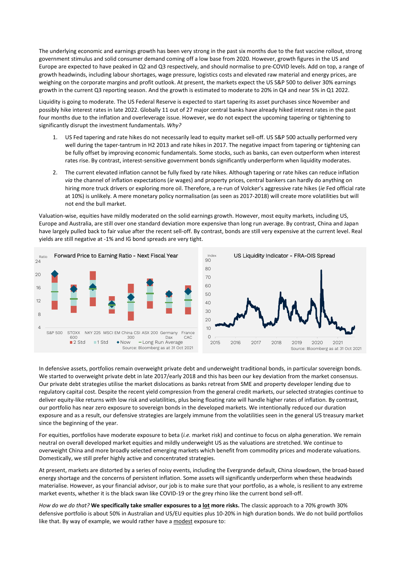The underlying economic and earnings growth has been very strong in the past six months due to the fast vaccine rollout, strong government stimulus and solid consumer demand coming off a low base from 2020. However, growth figures in the US and Europe are expected to have peaked in Q2 and Q3 respectively, and should normalise to pre-COVID levels. Add on top, a range of growth headwinds, including labour shortages, wage pressure, logistics costs and elevated raw material and energy prices, are weighing on the corporate margins and profit outlook. At present, the markets expect the US S&P 500 to deliver 30% earnings growth in the current Q3 reporting season. And the growth is estimated to moderate to 20% in Q4 and near 5% in Q1 2022.

Liquidity is going to moderate. The US Federal Reserve is expected to start tapering its asset purchases since November and possibly hike interest rates in late 2022. Globally 11 out of 27 major central banks have already hiked interest rates in the past four months due to the inflation and overleverage issue. However, we do not expect the upcoming tapering or tightening to significantly disrupt the investment fundamentals. *Why?*

- 1. US Fed tapering and rate hikes do not necessarily lead to equity market sell-off. US S&P 500 actually performed very well during the taper-tantrum in H2 2013 and rate hikes in 2017. The negative impact from tapering or tightening can be fully offset by improving economic fundamentals. Some stocks, such as banks, can even outperform when interest rates rise. By contrast, interest-sensitive government bonds significantly underperform when liquidity moderates.
- 2. The current elevated inflation cannot be fully fixed by rate hikes. Although tapering or rate hikes can reduce inflation *via* the channel of inflation expectations (*ie* wages) and property prices, central bankers can hardly do anything on hiring more truck drivers or exploring more oil. Therefore, a re-run of Volcker's aggressive rate hikes (*ie* Fed official rate at 10%) is unlikely. A mere monetary policy normalisation (as seen as 2017-2018) will create more volatilities but will not end the bull market.

Valuation-wise, equities have mildly moderated on the solid earnings growth. However, most equity markets, including US, Europe and Australia, are still over one standard deviation more expensive than long run average. By contrast, China and Japan have largely pulled back to fair value after the recent sell-off. By contrast, bonds are still very expensive at the current level. Real yields are still negative at -1% and IG bond spreads are very tight.





In defensive assets, portfolios remain overweight private debt and underweight traditional bonds, in particular sovereign bonds. We started to overweight private debt in late 2017/early 2018 and this has been our key deviation from the market consensus. Our private debt strategies utilise the market dislocations as banks retreat from SME and property developer lending due to regulatory capital cost. Despite the recent yield compression from the general credit markets, our selected strategies continue to deliver equity-like returns with low risk and volatilities, plus being floating rate will handle higher rates of inflation. By contrast, our portfolio has near zero exposure to sovereign bonds in the developed markets. We intentionally reduced our duration exposure and as a result, our defensive strategies are largely immune from the volatilities seen in the general US treasury market since the beginning of the year.

For equities, portfolios have moderate exposure to beta (*i.e.* market risk) and continue to focus on alpha generation. We remain neutral on overall developed market equities and mildly underweight US as the valuations are stretched. We continue to overweight China and more broadly selected emerging markets which benefit from commodity prices and moderate valuations. Domestically, we still prefer highly active and concentrated strategies.

At present, markets are distorted by a series of noisy events, including the Evergrande default, China slowdown, the broad-based energy shortage and the concerns of persistent inflation. Some assets will significantly underperform when these headwinds materialise. However, as your financial advisor, our job is to make sure that your portfolio, as a whole, is resilient to any extreme market events, whether it is the black swan like COVID-19 or the grey rhino like the current bond sell-off.

*How do we do that?* **We specifically take smaller exposures to a lot more risks.** The classic approach to a 70% growth 30% defensive portfolio is about 50% in Australian and US/EU equities plus 10-20% in high duration bonds. We do not build portfolios like that. By way of example, we would rather have a modest exposure to: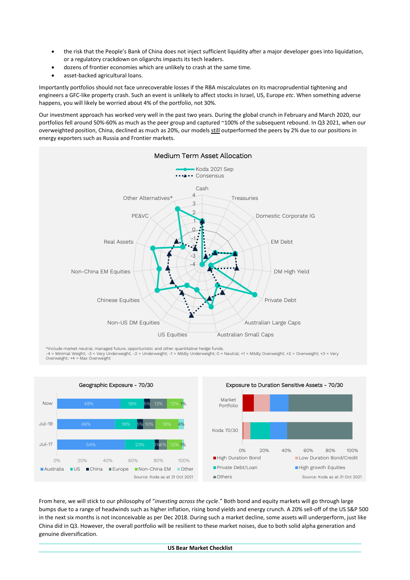- the risk that the People's Bank of China does not inject sufficient liquidity after a major developer goes into liquidation, or a regulatory crackdown on oligarchs impacts its tech leaders.
- dozens of frontier economies which are unlikely to crash at the same time.
- asset-backed agricultural loans.

Importantly portfolios should not face unrecoverable losses if the RBA miscalculates on its macroprudential tightening and engineers a GFC-like property crash. Such an event is unlikely to affect stocks in Israel, US, Europe *etc*. When something adverse happens, you will likely be worried about 4% of the portfolio, not 30%.

Our investment approach has worked very well in the past two years. During the global crunch in February and March 2020, our portfolios fell around 50%-60% as much as the peer group and captured ~100% of the subsequent rebound. In Q3 2021, when our overweighted position, China, declined as much as 20%, our models still outperformed the peers by 2% due to our positions in energy exporters such as Russia and Frontier markets.



\*Include market neutral, managed future, opportunistic and other quantitative hedge funds.<br>-4 = Minimal Weight; -3 = Very Underweight, -2 = Underweight; -1 = Mildly Underweight; 0 = Neutral; +1 = Mildly Overweight; +2 = Ov Overweight; +4 = Max Overweight



From here, we will stick to our philosophy of "*investing across the cycle*." Both bond and equity markets will go through large bumps due to a range of headwinds such as higher inflation, rising bond yields and energy crunch. A 20% sell-off of the US S&P 500 in the next six months is not inconceivable as per Dec 2018. During such a market decline, some assets will underperform, just like China did in Q3. However, the overall portfolio will be resilient to these market noises, due to both solid alpha generation and genuine diversification.

### **US Bear Market Checklist**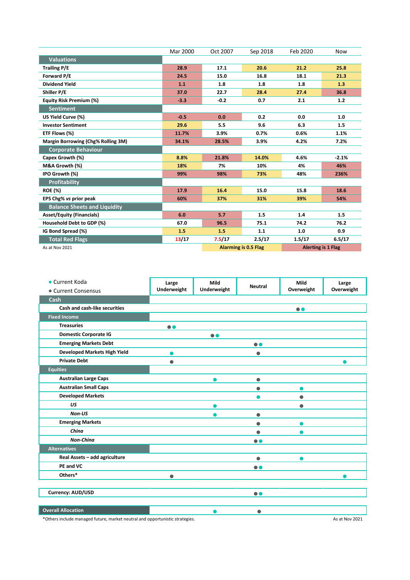|                                     | Mar 2000 | Oct 2007                    | Sep 2018 | Feb 2020                  | <b>Now</b> |
|-------------------------------------|----------|-----------------------------|----------|---------------------------|------------|
| <b>Valuations</b>                   |          |                             |          |                           |            |
| <b>Trailing P/E</b>                 | 28.9     | 17.1                        | 20.6     | 21.2                      | 25.8       |
| Forward P/E                         | 24.5     | 15.0                        | 16.8     | 18.1                      | 21.3       |
| <b>Dividend Yield</b>               | 1.1      | 1.8                         | 1.8      | 1.8                       | 1.3        |
| Shiller P/E                         | 37.0     | 22.7                        | 28.4     | 27.4                      | 36.8       |
| <b>Equity Risk Premium (%)</b>      | $-3.3$   | $-0.2$                      | 0.7      | 2.1                       | $1.2$      |
| <b>Sentiment</b>                    |          |                             |          |                           |            |
| US Yield Curve (%)                  | $-0.5$   | 0.0                         | 0.2      | 0.0                       | 1.0        |
| <b>Investor Sentiment</b>           | 29.6     | 5.5                         | 9.6      | 6.3                       | 1.5        |
| ETF Flows (%)                       | 11.7%    | 3.9%                        | 0.7%     | 0.6%                      | 1.1%       |
| Margin Borrowing (Chg% Rolling 3M)  | 34.1%    | 28.5%                       | 3.9%     | 4.2%                      | 7.2%       |
| <b>Corporate Behaviour</b>          |          |                             |          |                           |            |
| Capex Growth (%)                    | 8.8%     | 21.8%                       | 14.0%    | 4.6%                      | $-2.1%$    |
| M&A Growth (%)                      | 18%      | 7%                          | 10%      | 4%                        | 46%        |
| IPO Growth (%)                      | 99%      | 98%                         | 73%      | 48%                       | 236%       |
| <b>Profitability</b>                |          |                             |          |                           |            |
| <b>ROE (%)</b>                      | 17.9     | 16.4                        | 15.0     | 15.8                      | 18.6       |
| EPS Chg% vs prior peak              | 60%      | 37%                         | 31%      | 39%                       | 54%        |
| <b>Balance Sheets and Liquidity</b> |          |                             |          |                           |            |
| <b>Asset/Equity (Financials)</b>    | 6.0      | 5.7                         | 1.5      | 1.4                       | 1.5        |
| Household Debt to GDP (%)           | 67.0     | 96.5                        | 75.1     | 74.2                      | 76.2       |
| IG Bond Spread (%)                  | 1.5      | 1.5                         | 1.1      | 1.0                       | 0.9        |
| <b>Total Red Flags</b>              | 13/17    | 7.5/17                      | 2.5/17   | 1.5/17                    | 6.5/17     |
| As at Nov 2021                      |          | <b>Alarming is 0.5 Flag</b> |          | <b>Alerting is 1 Flag</b> |            |

| • Current Koda<br>• Current Consensus | Large<br>Underweight | Mild<br>Underweight | <b>Neutral</b>   | Mild<br>Overweight | Large<br>Overweight |
|---------------------------------------|----------------------|---------------------|------------------|--------------------|---------------------|
| Cash                                  |                      |                     |                  |                    |                     |
| Cash and cash-like securities         |                      |                     |                  | $\bullet\bullet$   |                     |
| <b>Fixed Income</b>                   |                      |                     |                  |                    |                     |
| <b>Treasuries</b>                     | $\bullet\bullet$     |                     |                  |                    |                     |
| <b>Domestic Corporate IG</b>          |                      | $\bullet$           |                  |                    |                     |
| <b>Emerging Markets Debt</b>          |                      |                     | $\bullet$        |                    |                     |
| <b>Developed Markets High Yield</b>   |                      |                     |                  |                    |                     |
| <b>Private Debt</b>                   | $\bullet$            |                     |                  |                    |                     |
| <b>Equities</b>                       |                      |                     |                  |                    |                     |
| <b>Australian Large Caps</b>          |                      |                     | $\bullet$        |                    |                     |
| <b>Australian Small Caps</b>          |                      |                     | ●                |                    |                     |
| <b>Developed Markets</b>              |                      |                     |                  |                    |                     |
| US                                    |                      |                     |                  |                    |                     |
| Non-US                                |                      |                     | ●                |                    |                     |
| <b>Emerging Markets</b>               |                      |                     | ●                |                    |                     |
| China                                 |                      |                     | $\bullet$        |                    |                     |
| Non-China                             |                      |                     | $\bullet\bullet$ |                    |                     |
| <b>Alternatives</b>                   |                      |                     |                  |                    |                     |
| Real Assets - add agriculture         |                      |                     | $\bullet$        |                    |                     |
| PE and VC                             |                      |                     | $\bullet\bullet$ |                    |                     |
| Others*                               | Φ                    |                     |                  |                    |                     |
|                                       |                      |                     |                  |                    |                     |
| Currency: AUD/USD                     |                      |                     | $\bullet\bullet$ |                    |                     |
|                                       |                      |                     |                  |                    |                     |
| <b>Overall Allocation</b>             |                      |                     | Ω                |                    |                     |

\*Others include managed future, market neutral and opportunistic strategies. As at Nov 2021